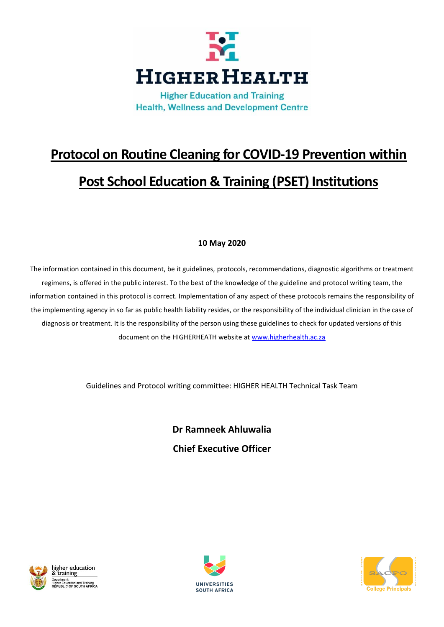

**Health, Wellness and Development Centre** 

# **Protocol on Routine Cleaning for COVID-19 Prevention within Post School Education & Training (PSET) Institutions**

# **10 May 2020**

The information contained in this document, be it guidelines, protocols, recommendations, diagnostic algorithms or treatment regimens, is offered in the public interest. To the best of the knowledge of the guideline and protocol writing team, the information contained in this protocol is correct. Implementation of any aspect of these protocols remains the responsibility of the implementing agency in so far as public health liability resides, or the responsibility of the individual clinician in the case of diagnosis or treatment. It is the responsibility of the person using these guidelines to check for updated versions of this document on the HIGHERHEATH website at [www.higherhealth.ac.za](http://www.higherhealth.ac.za/)

Guidelines and Protocol writing committee: HIGHER HEALTH Technical Task Team

**Dr Ramneek Ahluwalia Chief Executive Officer**





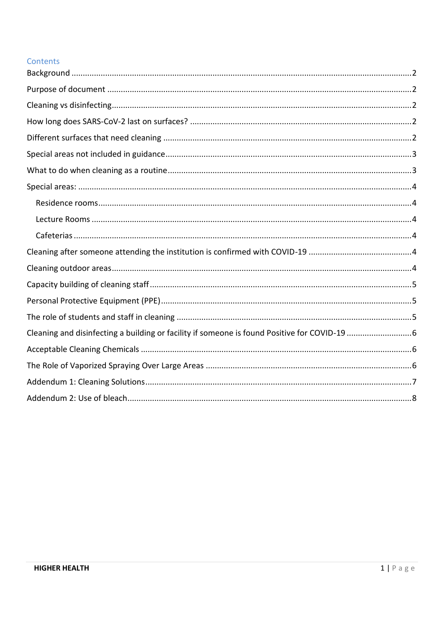## Contents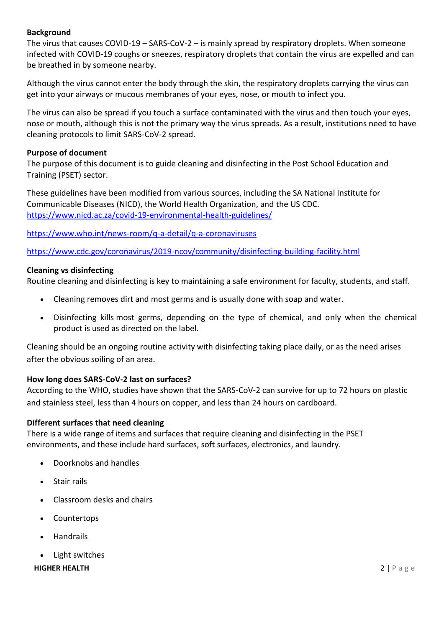## <span id="page-2-0"></span>**Background**

The virus that causes COVID-19 – SARS-CoV-2 – is mainly spread by respiratory droplets. When someone infected with COVID-19 coughs or sneezes, respiratory droplets that contain the virus are expelled and can be breathed in by someone nearby.

Although the virus cannot enter the body through the skin, the respiratory droplets carrying the virus can get into your airways or mucous membranes of your eyes, nose, or mouth to infect you.

The virus can also be spread if you touch a surface contaminated with the virus and then touch your eyes, nose or mouth, although this is not the primary way the virus spreads. As a result, institutions need to have cleaning protocols to limit SARS-CoV-2 spread.

#### <span id="page-2-1"></span>**Purpose of document**

The purpose of this document is to guide cleaning and disinfecting in the Post School Education and Training (PSET) sector.

These guidelines have been modified from various sources, including the SA National Institute for Communicable Diseases (NICD), the World Health Organization, and the US CDC. <https://www.nicd.ac.za/covid-19-environmental-health-guidelines/>

<https://www.who.int/news-room/q-a-detail/q-a-coronaviruses>

<https://www.cdc.gov/coronavirus/2019-ncov/community/disinfecting-building-facility.html>

#### <span id="page-2-2"></span>**Cleaning vs disinfecting**

Routine cleaning and disinfecting is key to maintaining a safe environment for faculty, students, and staff.

- Cleaning removes dirt and most germs and is usually done with soap and water.
- Disinfecting kills most germs, depending on the type of chemical, and only when the chemical product is used as directed on the label.

Cleaning should be an ongoing routine activity with disinfecting taking place daily, or as the need arises after the obvious soiling of an area.

## <span id="page-2-3"></span>**How long does SARS-CoV-2 last on surfaces?**

According to the WHO, studies have shown that the SARS-CoV-2 can survive for up to 72 hours on plastic and stainless steel, less than 4 hours on copper, and less than 24 hours on cardboard.

#### <span id="page-2-4"></span>**Different surfaces that need cleaning**

There is a wide range of items and surfaces that require cleaning and disinfecting in the PSET environments, and these include hard surfaces, soft surfaces, electronics, and laundry.

- Doorknobs and handles
- Stair rails
- Classroom desks and chairs
- Countertops
- Handrails
- Light switches

## **HIGHER HEALTH** 2 | P a g e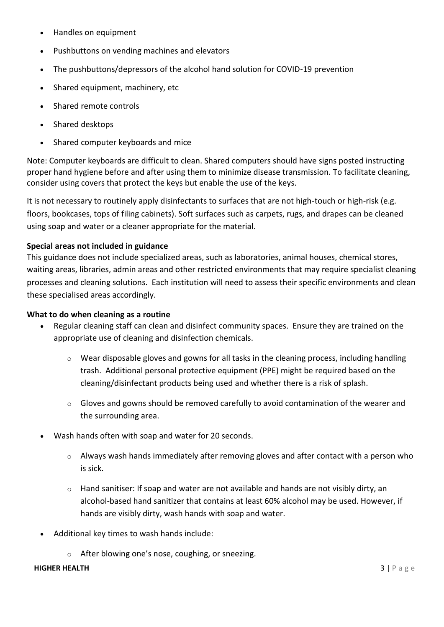- Handles on equipment
- Pushbuttons on vending machines and elevators
- The pushbuttons/depressors of the alcohol hand solution for COVID-19 prevention
- Shared equipment, machinery, etc
- Shared remote controls
- Shared desktops
- Shared computer keyboards and mice

Note: Computer keyboards are difficult to clean. Shared computers should have signs posted instructing proper hand hygiene before and after using them to minimize disease transmission. To facilitate cleaning, consider using covers that protect the keys but enable the use of the keys.

It is not necessary to routinely apply disinfectants to surfaces that are not high-touch or high-risk (e.g. floors, bookcases, tops of filing cabinets). Soft surfaces such as carpets, rugs, and drapes can be cleaned using soap and water or a cleaner appropriate for the material.

#### <span id="page-3-0"></span>**Special areas not included in guidance**

This guidance does not include specialized areas, such as laboratories, animal houses, chemical stores, waiting areas, libraries, admin areas and other restricted environments that may require specialist cleaning processes and cleaning solutions. Each institution will need to assess their specific environments and clean these specialised areas accordingly.

#### <span id="page-3-1"></span>**What to do when cleaning as a routine**

- Regular cleaning staff can clean and disinfect community spaces. Ensure they are trained on the appropriate use of cleaning and disinfection chemicals.
	- o Wear disposable gloves and gowns for all tasks in the cleaning process, including handling trash. Additional personal protective equipment (PPE) might be required based on the cleaning/disinfectant products being used and whether there is a risk of splash.
	- $\circ$  Gloves and gowns should be removed carefully to avoid contamination of the wearer and the surrounding area.
- Wash hands often with soap and water for 20 seconds.
	- o Always wash hands immediately after removing gloves and after contact with a person who is sick.
	- $\circ$  Hand sanitiser: If soap and water are not available and hands are not visibly dirty, an alcohol-based hand sanitizer that contains at least 60% alcohol may be used. However, if hands are visibly dirty, wash hands with soap and water.
- Additional key times to wash hands include:
	- o After blowing one's nose, coughing, or sneezing.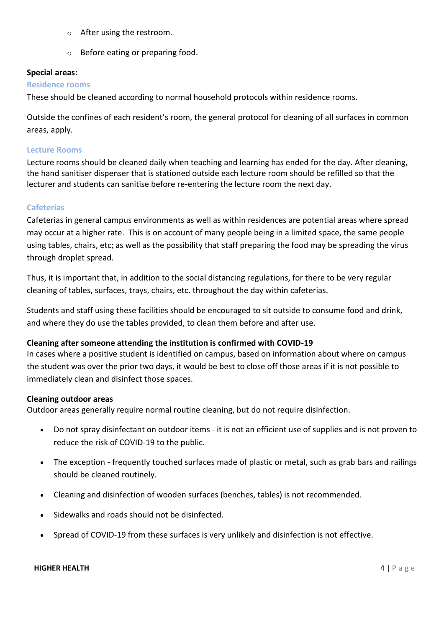- o After using the restroom.
- o Before eating or preparing food.

#### <span id="page-4-0"></span>**Special areas:**

#### <span id="page-4-1"></span>**Residence rooms**

These should be cleaned according to normal household protocols within residence rooms.

Outside the confines of each resident's room, the general protocol for cleaning of all surfaces in common areas, apply.

#### <span id="page-4-2"></span>**Lecture Rooms**

Lecture rooms should be cleaned daily when teaching and learning has ended for the day. After cleaning, the hand sanitiser dispenser that is stationed outside each lecture room should be refilled so that the lecturer and students can sanitise before re-entering the lecture room the next day.

## <span id="page-4-3"></span>**Cafeterias**

Cafeterias in general campus environments as well as within residences are potential areas where spread may occur at a higher rate. This is on account of many people being in a limited space, the same people using tables, chairs, etc; as well as the possibility that staff preparing the food may be spreading the virus through droplet spread.

Thus, it is important that, in addition to the social distancing regulations, for there to be very regular cleaning of tables, surfaces, trays, chairs, etc. throughout the day within cafeterias.

Students and staff using these facilities should be encouraged to sit outside to consume food and drink, and where they do use the tables provided, to clean them before and after use.

## <span id="page-4-4"></span>**Cleaning after someone attending the institution is confirmed with COVID-19**

In cases where a positive student is identified on campus, based on information about where on campus the student was over the prior two days, it would be best to close off those areas if it is not possible to immediately clean and disinfect those spaces.

## <span id="page-4-5"></span>**Cleaning outdoor areas**

Outdoor areas generally require normal routine cleaning, but do not require disinfection.

- Do not spray disinfectant on outdoor items it is not an efficient use of supplies and is not proven to reduce the risk of COVID-19 to the public.
- The exception frequently touched surfaces made of plastic or metal, such as grab bars and railings should be cleaned routinely.
- Cleaning and disinfection of wooden surfaces (benches, tables) is not recommended.
- Sidewalks and roads should not be disinfected.
- Spread of COVID-19 from these surfaces is very unlikely and disinfection is not effective.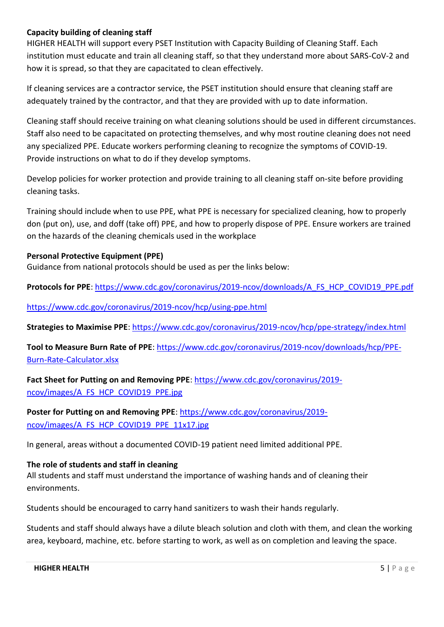## <span id="page-5-0"></span>**Capacity building of cleaning staff**

HIGHER HEALTH will support every PSET Institution with Capacity Building of Cleaning Staff. Each institution must educate and train all cleaning staff, so that they understand more about SARS-CoV-2 and how it is spread, so that they are capacitated to clean effectively.

If cleaning services are a contractor service, the PSET institution should ensure that cleaning staff are adequately trained by the contractor, and that they are provided with up to date information.

Cleaning staff should receive training on what cleaning solutions should be used in different circumstances. Staff also need to be capacitated on protecting themselves, and why most routine cleaning does not need any specialized PPE. Educate workers performing cleaning to recognize the symptoms of COVID-19. Provide instructions on what to do if they develop [symptoms.](https://www.cdc.gov/coronavirus/2019-ncov/about/symptoms.html)

Develop policies for worker protection and provide training to all cleaning staff on-site before providing cleaning tasks.

Training should include when to use PPE, what PPE is necessary for specialized cleaning, how to properly don (put on), use, and doff (take off) PPE, and how to properly dispose of PPE. Ensure workers are trained on the hazards of the cleaning chemicals used in the workplace

#### <span id="page-5-1"></span>**Personal Protective Equipment (PPE)**

Guidance from national protocols should be used as per the links below:

**Protocols for PPE**: [https://www.cdc.gov/coronavirus/2019-ncov/downloads/A\\_FS\\_HCP\\_COVID19\\_PPE.pdf](https://www.cdc.gov/coronavirus/2019-ncov/downloads/A_FS_HCP_COVID19_PPE.pdf)

<https://www.cdc.gov/coronavirus/2019-ncov/hcp/using-ppe.html>

**Strategies to Maximise PPE**:<https://www.cdc.gov/coronavirus/2019-ncov/hcp/ppe-strategy/index.html>

**Tool to Measure Burn Rate of PPE**: [https://www.cdc.gov/coronavirus/2019-ncov/downloads/hcp/PPE-](https://www.cdc.gov/coronavirus/2019-ncov/downloads/hcp/PPE-Burn-Rate-Calculator.xlsx)[Burn-Rate-Calculator.xlsx](https://www.cdc.gov/coronavirus/2019-ncov/downloads/hcp/PPE-Burn-Rate-Calculator.xlsx)

**Fact Sheet for Putting on and Removing PPE**[: https://www.cdc.gov/coronavirus/2019](https://www.cdc.gov/coronavirus/2019-ncov/images/A_FS_HCP_COVID19_PPE.jpg) [ncov/images/A\\_FS\\_HCP\\_COVID19\\_PPE.jpg](https://www.cdc.gov/coronavirus/2019-ncov/images/A_FS_HCP_COVID19_PPE.jpg)

**Poster for Putting on and Removing PPE**: [https://www.cdc.gov/coronavirus/2019](https://www.cdc.gov/coronavirus/2019-ncov/images/A_FS_HCP_COVID19_PPE_11x17.jpg) [ncov/images/A\\_FS\\_HCP\\_COVID19\\_PPE\\_11x17.jpg](https://www.cdc.gov/coronavirus/2019-ncov/images/A_FS_HCP_COVID19_PPE_11x17.jpg)

In general, areas without a documented COVID-19 patient need limited additional PPE.

#### <span id="page-5-2"></span>**The role of students and staff in cleaning**

All students and staff must understand the importance of washing hands and of cleaning their environments.

Students should be encouraged to carry hand sanitizers to wash their hands regularly.

Students and staff should always have a dilute bleach solution and cloth with them, and clean the working area, keyboard, machine, etc. before starting to work, as well as on completion and leaving the space.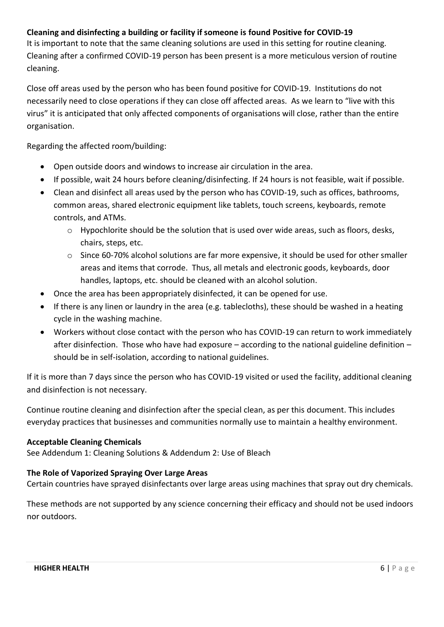# <span id="page-6-0"></span>**Cleaning and disinfecting a building or facility if someone is found Positive for COVID-19**

It is important to note that the same cleaning solutions are used in this setting for routine cleaning. Cleaning after a confirmed COVID-19 person has been present is a more meticulous version of routine cleaning.

Close off areas used by the person who has been found positive for COVID-19. Institutions do not necessarily need to close operations if they can close off affected areas. As we learn to "live with this virus" it is anticipated that only affected components of organisations will close, rather than the entire organisation.

Regarding the affected room/building:

- Open outside doors and windows to increase air circulation in the area.
- If possible, wait 24 hours before cleaning/disinfecting. If 24 hours is not feasible, wait if possible.
- Clean and disinfect all areas used by the person who has COVID-19, such as offices, bathrooms, common areas, shared electronic equipment like tablets, touch screens, keyboards, remote controls, and ATMs.
	- $\circ$  Hypochlorite should be the solution that is used over wide areas, such as floors, desks, chairs, steps, etc.
	- $\circ$  Since 60-70% alcohol solutions are far more expensive, it should be used for other smaller areas and items that corrode. Thus, all metals and electronic goods, keyboards, door handles, laptops, etc. should be cleaned with an alcohol solution.
- Once the area has been appropriately disinfected, it can be opened for use.
- If there is any linen or laundry in the area (e.g. tablecloths), these should be washed in a heating cycle in the washing machine.
- Workers without close contact with the person who has COVID-19 can return to work immediately after disinfection. Those who have had exposure – according to the national guideline definition – should be in self-isolation, according to national guidelines.

If it is more than 7 days since the person who has COVID-19 visited or used the facility, additional cleaning and disinfection is not necessary.

Continue routine cleaning and disinfection after the special clean, as per this document. This includes everyday practices that businesses and communities normally use to maintain a healthy environment.

## <span id="page-6-1"></span>**Acceptable Cleaning Chemicals**

See Addendum 1: Cleaning Solutions & Addendum 2: Use of Bleach

## <span id="page-6-2"></span>**The Role of Vaporized Spraying Over Large Areas**

Certain countries have sprayed disinfectants over large areas using machines that spray out dry chemicals.

These methods are not supported by any science concerning their efficacy and should not be used indoors nor outdoors.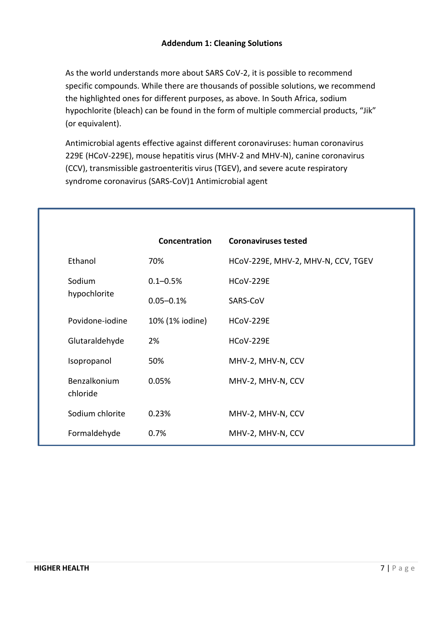<span id="page-7-0"></span>As the world understands more about SARS CoV-2, it is possible to recommend specific compounds. While there are thousands of possible solutions, we recommend the highlighted ones for different purposes, as above. In South Africa, sodium hypochlorite (bleach) can be found in the form of multiple commercial products, "Jik" (or equivalent).

Antimicrobial agents effective against different coronaviruses: human coronavirus 229E (HCoV-229E), mouse hepatitis virus (MHV-2 and MHV-N), canine coronavirus (CCV), transmissible gastroenteritis virus (TGEV), and severe acute respiratory syndrome coronavirus (SARS-CoV)1 Antimicrobial agent

|                          | Concentration   | <b>Coronaviruses tested</b>        |
|--------------------------|-----------------|------------------------------------|
| Ethanol                  | 70%             | HCoV-229E, MHV-2, MHV-N, CCV, TGEV |
| Sodium                   | $0.1 - 0.5%$    | <b>HCoV-229E</b>                   |
| hypochlorite             | $0.05 - 0.1%$   | SARS-CoV                           |
| Povidone-jodine          | 10% (1% iodine) | <b>HCoV-229E</b>                   |
| Glutaraldehyde           | 2%              | <b>HCoV-229E</b>                   |
| Isopropanol              | 50%             | MHV-2, MHV-N, CCV                  |
| Benzalkonium<br>chloride | 0.05%           | MHV-2, MHV-N, CCV                  |
| Sodium chlorite          | 0.23%           | MHV-2, MHV-N, CCV                  |
| Formaldehyde             | 0.7%            | MHV-2, MHV-N, CCV                  |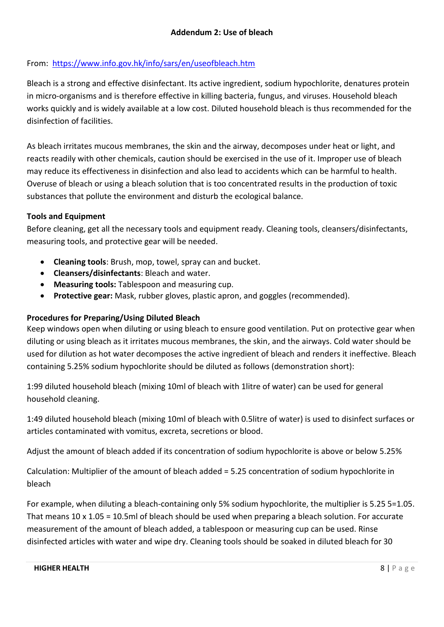# <span id="page-8-0"></span>From: <https://www.info.gov.hk/info/sars/en/useofbleach.htm>

Bleach is a strong and effective disinfectant. Its active ingredient, sodium hypochlorite, denatures protein in micro-organisms and is therefore effective in killing bacteria, fungus, and viruses. Household bleach works quickly and is widely available at a low cost. Diluted household bleach is thus recommended for the disinfection of facilities.

As bleach irritates mucous membranes, the skin and the airway, decomposes under heat or light, and reacts readily with other chemicals, caution should be exercised in the use of it. Improper use of bleach may reduce its effectiveness in disinfection and also lead to accidents which can be harmful to health. Overuse of bleach or using a bleach solution that is too concentrated results in the production of toxic substances that pollute the environment and disturb the ecological balance.

## **Tools and Equipment**

Before cleaning, get all the necessary tools and equipment ready. Cleaning tools, cleansers/disinfectants, measuring tools, and protective gear will be needed.

- **Cleaning tools**: Brush, mop, towel, spray can and bucket.
- **Cleansers/disinfectants**: Bleach and water.
- **Measuring tools:** Tablespoon and measuring cup.
- **Protective gear:** Mask, rubber gloves, plastic apron, and goggles (recommended).

# **Procedures for Preparing/Using Diluted Bleach**

Keep windows open when diluting or using bleach to ensure good ventilation. Put on protective gear when diluting or using bleach as it irritates mucous membranes, the skin, and the airways. Cold water should be used for dilution as hot water decomposes the active ingredient of bleach and renders it ineffective. Bleach containing 5.25% sodium hypochlorite should be diluted as follows (demonstration short):

1:99 diluted household bleach (mixing 10ml of bleach with 1litre of water) can be used for general household cleaning.

1:49 diluted household bleach (mixing 10ml of bleach with 0.5litre of water) is used to disinfect surfaces or articles contaminated with vomitus, excreta, secretions or blood.

Adjust the amount of bleach added if its concentration of sodium hypochlorite is above or below 5.25%

Calculation: Multiplier of the amount of bleach added = 5.25 concentration of sodium hypochlorite in bleach

For example, when diluting a bleach-containing only 5% sodium hypochlorite, the multiplier is 5.25 5=1.05. That means 10 x 1.05 = 10.5ml of bleach should be used when preparing a bleach solution. For accurate measurement of the amount of bleach added, a tablespoon or measuring cup can be used. Rinse disinfected articles with water and wipe dry. Cleaning tools should be soaked in diluted bleach for 30